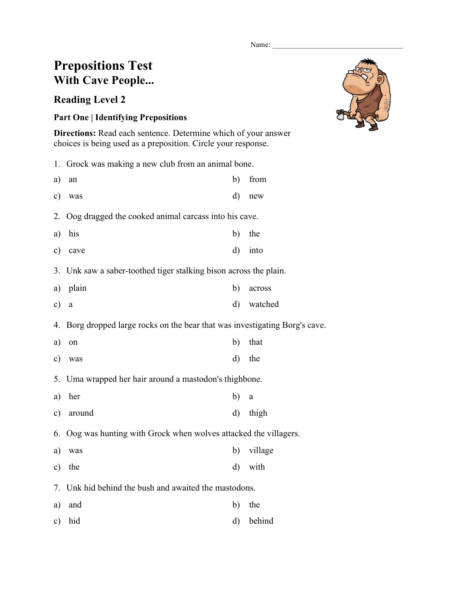Name:

## **Prepositions Test With Cave People...**

## **Reading Level 2**

## **Part One | Identifying Prepositions**

**Directions:** Read each sentence. Determine which of your answer choices is being used as a preposition. Circle your response.

|    | 1. Grock was making a new club from an animal bone.               |              |        |
|----|-------------------------------------------------------------------|--------------|--------|
| a) | an                                                                | b)           | from   |
|    | c) was                                                            | $\rm d)$     | new    |
|    | 2. Oog dragged the cooked animal carcass into his cave.           |              |        |
|    | a) his                                                            | b)           | the    |
|    | c) cave                                                           | $\mathbf{d}$ | into   |
|    | 3. Unk saw a saber-toothed tiger stalking bison across the plain. |              |        |
| a) | plain                                                             | b)           | across |
|    |                                                                   |              |        |

c) a d) watched

4. Borg dropped large rocks on the bear that was investigating Borg's cave.

- a) on b) that
- c) was d) the
- 5. Uma wrapped her hair around a mastodon's thighbone.
- a) her b) a
- c) around d) thigh

6. Oog was hunting with Grock when wolves attacked the villagers.

a) was b) village c) the d) with

7. Unk hid behind the bush and awaited the mastodons.

- a) and b) the
- c) hid d) behind

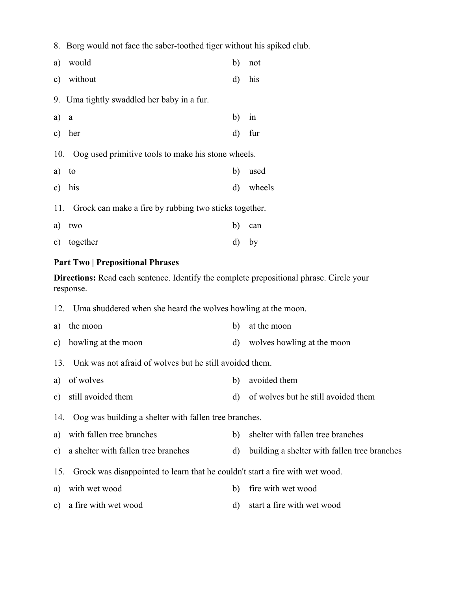8. Borg would not face the saber-toothed tiger without his spiked club.

|       | a) would                                                  | b) | not       |
|-------|-----------------------------------------------------------|----|-----------|
|       | c) without                                                | d) | his       |
|       | 9. Uma tightly swaddled her baby in a fur.                |    |           |
| a) a  |                                                           | b) | 1n        |
|       | c) her                                                    |    | $d)$ fur  |
|       | 10. Oog used primitive tools to make his stone wheels.    |    |           |
| a) to |                                                           | b) | used      |
|       | c) his                                                    |    | d) wheels |
|       | 11. Grock can make a fire by rubbing two sticks together. |    |           |
|       | a) two                                                    | b) | can       |

c) together d) by

## **Part Two | Prepositional Phrases**

**Directions:** Read each sentence. Identify the complete prepositional phrase. Circle your response.

- 12. Uma shuddered when she heard the wolves howling at the moon.
- a) the moon b) at the moon c) howling at the moon d) wolves howling at the moon 13. Unk was not afraid of wolves but he still avoided them. a) of wolves b) avoided them c) still avoided them d) of wolves but he still avoided them 14. Oog was building a shelter with fallen tree branches. a) with fallen tree branches b) shelter with fallen tree branches c) a shelter with fallen tree branches d) building a shelter with fallen tree branches 15. Grock was disappointed to learn that he couldn't start a fire with wet wood. a) with wet wood b) fire with wet wood c) a fire with wet wood d) start a fire with wet wood